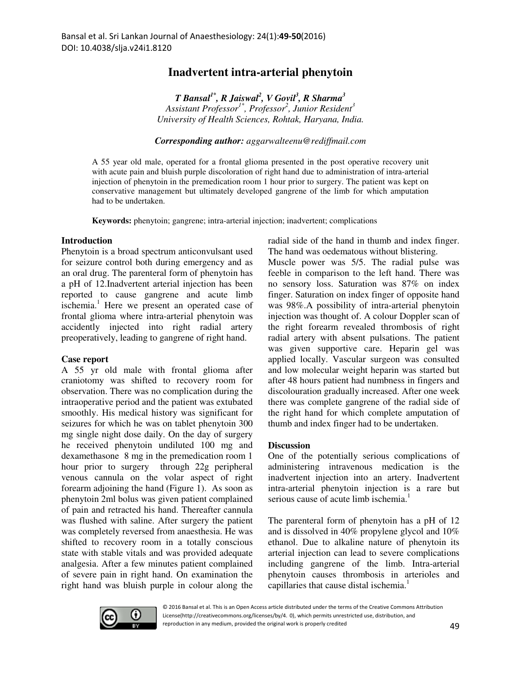# **Inadvertent intra-arterial phenytoin**

*T Bansal1\*, R Jaiswal<sup>2</sup> , V Govil<sup>3</sup> , R Sharma<sup>3</sup> Assistant Professor1\*, Professor<sup>2</sup> , Junior Resident<sup>3</sup> University of Health Sciences, Rohtak, Haryana, India.* 

*Corresponding author: aggarwalteenu@rediffmail.com*

A 55 year old male, operated for a frontal glioma presented in the post operative recovery unit with acute pain and bluish purple discoloration of right hand due to administration of intra-arterial injection of phenytoin in the premedication room 1 hour prior to surgery. The patient was kept on conservative management but ultimately developed gangrene of the limb for which amputation had to be undertaken.

**Keywords:** phenytoin; gangrene; intra-arterial injection; inadvertent; complications

### **Introduction**

Phenytoin is a broad spectrum anticonvulsant used for seizure control both during emergency and as an oral drug. The parenteral form of phenytoin has a pH of 12.Inadvertent arterial injection has been reported to cause gangrene and acute limb ischemia.<sup>1</sup> Here we present an operated case of frontal glioma where intra-arterial phenytoin was accidently injected into right radial artery preoperatively, leading to gangrene of right hand.

#### **Case report**

A 55 yr old male with frontal glioma after craniotomy was shifted to recovery room for observation. There was no complication during the intraoperative period and the patient was extubated smoothly. His medical history was significant for seizures for which he was on tablet phenytoin 300 mg single night dose daily. On the day of surgery he received phenytoin undiluted 100 mg and dexamethasone 8 mg in the premedication room 1 hour prior to surgery through 22g peripheral venous cannula on the volar aspect of right forearm adjoining the hand (Figure 1). As soon as phenytoin 2ml bolus was given patient complained of pain and retracted his hand. Thereafter cannula was flushed with saline. After surgery the patient was completely reversed from anaesthesia. He was shifted to recovery room in a totally conscious state with stable vitals and was provided adequate analgesia. After a few minutes patient complained of severe pain in right hand. On examination the right hand was bluish purple in colour along the radial side of the hand in thumb and index finger. The hand was oedematous without blistering.

Muscle power was 5/5. The radial pulse was feeble in comparison to the left hand. There was no sensory loss. Saturation was 87% on index finger. Saturation on index finger of opposite hand was 98%.A possibility of intra-arterial phenytoin injection was thought of. A colour Doppler scan of the right forearm revealed thrombosis of right radial artery with absent pulsations. The patient was given supportive care. Heparin gel was applied locally. Vascular surgeon was consulted and low molecular weight heparin was started but after 48 hours patient had numbness in fingers and discolouration gradually increased. After one week there was complete gangrene of the radial side of the right hand for which complete amputation of thumb and index finger had to be undertaken.

## **Discussion**

One of the potentially serious complications of administering intravenous medication is the inadvertent injection into an artery. Inadvertent intra-arterial phenytoin injection is a rare but serious cause of acute limb ischemia.<sup>1</sup>

The parenteral form of phenytoin has a pH of 12 and is dissolved in 40% propylene glycol and 10% ethanol. Due to alkaline nature of phenytoin its arterial injection can lead to severe complications including gangrene of the limb. Intra-arterial phenytoin causes thrombosis in arterioles and capillaries that cause distal ischemia.<sup>1</sup>